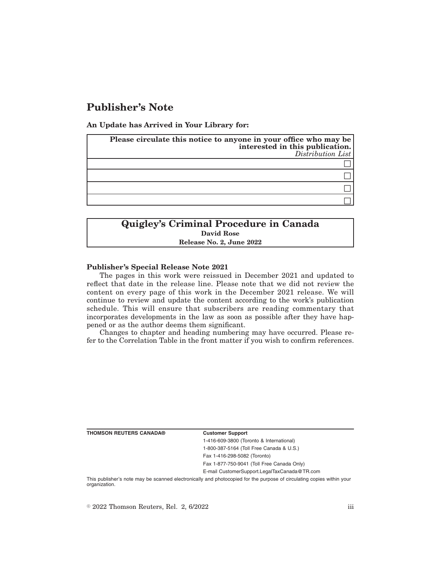# **Publisher's Note**

**An Update has Arrived in Your Library for:**

| Please circulate this notice to anyone in your office who may be<br>interested in this publication.<br>$Distribution$ List |
|----------------------------------------------------------------------------------------------------------------------------|
|                                                                                                                            |
|                                                                                                                            |
|                                                                                                                            |
|                                                                                                                            |

## **Quigley's Criminal Procedure in Canada David Rose Release No. 2, June 2022**

### **Publisher's Special Release Note 2021**

The pages in this work were reissued in December 2021 and updated to reflect that date in the release line. Please note that we did not review the content on every page of this work in the December 2021 release. We will continue to review and update the content according to the work's publication schedule. This will ensure that subscribers are reading commentary that incorporates developments in the law as soon as possible after they have happened or as the author deems them significant.

Changes to chapter and heading numbering may have occurred. Please refer to the Correlation Table in the front matter if you wish to confirm references.

| <b>THOMSON REUTERS CANADA®</b> |  |
|--------------------------------|--|
|--------------------------------|--|

#### **Customer Support**

1-416-609-3800 (Toronto & International) 1-800-387-5164 (Toll Free Canada & U.S.)

Fax 1-416-298-5082 (Toronto)

Fax 1-877-750-9041 (Toll Free Canada Only)

E-mail CustomerSupport.LegalTaxCanada@TR.com

This publisher's note may be scanned electronically and photocopied for the purpose of circulating copies within your organization.

 $\degree$  2022 Thomson Reuters, Rel. 2, 6/2022 iii